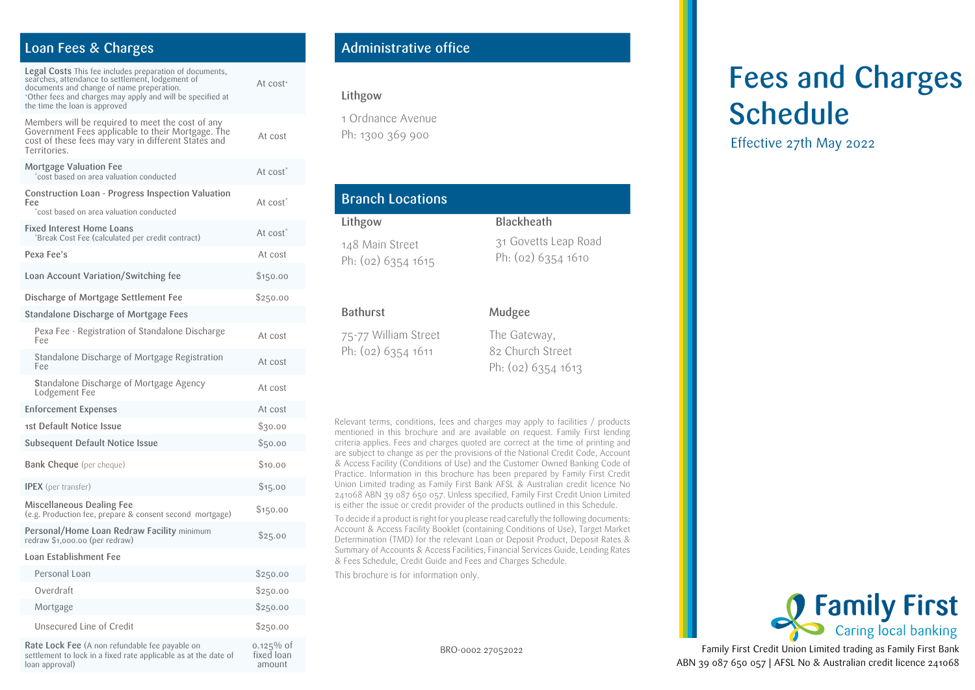### Loan Fees & Charges

loan approval)

| <b>Legal Costs</b> This fee includes preparation of documents,<br>searches, attendance to settlement, lodgement of<br>documents and change of name preperation.<br>*Other fees and charges may apply and will be specified at<br>the time the loan is approved | At cost <sup>+</sup>       |
|----------------------------------------------------------------------------------------------------------------------------------------------------------------------------------------------------------------------------------------------------------------|----------------------------|
| Members will be required to meet the cost of any<br>Government Fees applicable to their Mortgage. The<br>cost of these fees may vary in different States and<br>Territories.                                                                                   | At cost                    |
| Mortgage Valuation Fee<br>cost based on area valuation conducted                                                                                                                                                                                               | At cost <sup>*</sup>       |
| Construction Loan - Progress Inspection Valuation<br>Fee<br>cost based on area valuation conducted                                                                                                                                                             | At cost <sup>*</sup>       |
| <b>Fixed Interest Home Loans</b><br>Break Cost Fee (calculated per credit contract)                                                                                                                                                                            | At cost <sup>*</sup>       |
| Pexa Fee's                                                                                                                                                                                                                                                     | At cost                    |
| Loan Account Variation/Switching fee                                                                                                                                                                                                                           | \$150.00                   |
| Discharge of Mortgage Settlement Fee                                                                                                                                                                                                                           | \$250.00                   |
| Standalone Discharge of Mortgage Fees                                                                                                                                                                                                                          |                            |
| Pexa Fee - Registration of Standalone Discharge<br>Fee                                                                                                                                                                                                         | At cost                    |
| Standalone Discharge of Mortgage Registration<br>Fee                                                                                                                                                                                                           | At cost                    |
| Standalone Discharge of Mortgage Agency<br>Lodgement Fee                                                                                                                                                                                                       | At cost                    |
| <b>Enforcement Expenses</b>                                                                                                                                                                                                                                    | At cost                    |
| 1st Default Notice Issue                                                                                                                                                                                                                                       | \$30.00                    |
| <b>Subsequent Default Notice Issue</b>                                                                                                                                                                                                                         | \$50.00                    |
| <b>Bank Cheque</b> (per cheque)                                                                                                                                                                                                                                | \$10.00                    |
| <b>IPEX</b> (per transfer)                                                                                                                                                                                                                                     | \$15.00                    |
| Miscellaneous Dealing Fee<br>(e.g. Production fee, prepare & consent second mortgage)                                                                                                                                                                          | \$150.00                   |
| Personal/Home Loan Redraw Facility minimum<br>redraw \$1,000.00 (per redraw)                                                                                                                                                                                   | \$25.00                    |
| Loan Establishment Fee                                                                                                                                                                                                                                         |                            |
| Personal Loan                                                                                                                                                                                                                                                  | \$250.00                   |
| Overdraft                                                                                                                                                                                                                                                      | \$250.00                   |
| Mortgage                                                                                                                                                                                                                                                       | \$250.00                   |
| Unsecured Line of Credit                                                                                                                                                                                                                                       | \$250.00                   |
| Rate Lock Fee (A non refundable fee payable on<br>settlement to lock in a fixed rate applicable as at the date of                                                                                                                                              | $0.125\%$ of<br>fixed loan |

## Administrative office

### Lithgow

1 Ordnance Avenue Ph: 1300 369 900

| <b>Branch Locations</b>               |                                            |  |  |
|---------------------------------------|--------------------------------------------|--|--|
| Lithgow                               | <b>Blackheath</b>                          |  |  |
| 148 Main Street<br>Ph: (02) 6354 1615 | 31 Govetts Leap Road<br>Ph: (02) 6354 1610 |  |  |
| <b>Bathurst</b>                       | Mudgee                                     |  |  |

75-77 William Street Ph: (02) 6354 1611

The Gateway, 82 Church Street Ph: (02) 6354 1613

Relevant terms, conditions, fees and charges may apply to facilities / products mentioned in this brochure and are available on request. Family First lending criteria applies. Fees and charges quoted are correct at the time of printing and are subject to change as per the provisions of the National Credit Code, Account & Access Facility (Conditions of Use) and the Customer Owned Banking Code of Practice. Information in this brochure has been prepared by Family First Credit Union Limited trading as Family First Bank AFSL & Australian credit licence No 241068 ABN 39 087 650 057. Unless specified, Family First Credit Union Limited is either the issue or credit provider of the products outlined in this Schedule.

To decide if a product is right for you please read carefully the following documents: Account & Access Facility Booklet (containing Conditions of Use), Target Market Determination (TMD) for the relevant Loan or Deposit Product, Deposit Rates & Summary of Accounts & Access Facilities, Financial Services Guide, Lending Rates & Fees Schedule, Credit Guide and Fees and Charges Schedule.

This brochure is for information only.

amount

BRO-0002 27052022

# Fees and Charges Schedule

Effective 27th May 2022



Family First Credit Union Limited trading as Family First Bank ABN 39 087 650 057 | AFSL No & Australian credit licence 241068